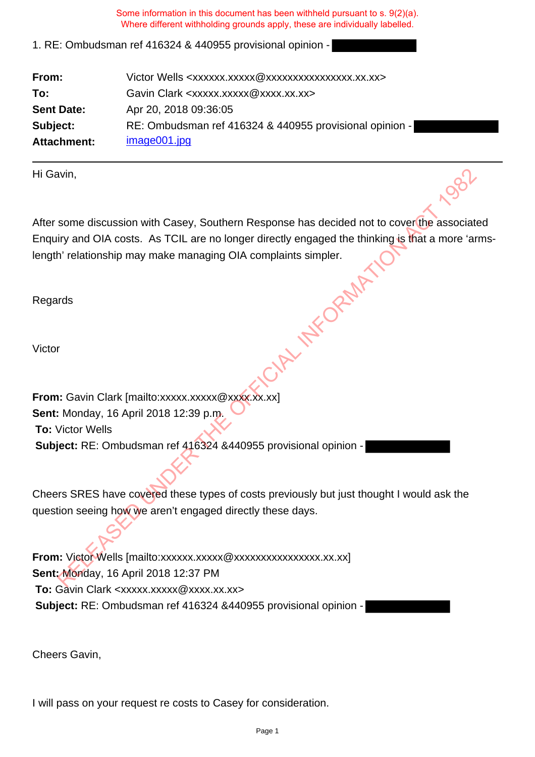1. RE: Ombudsman ref 416324 & 440955 provisional opinion -

| From:              | Victor Wells <xxxxxx.xxxxx @xxxxxxxxxxxxxxxx.xx.xx=""></xxxxxx.xxxxx> |
|--------------------|-----------------------------------------------------------------------|
| To:                | Gavin Clark <xxxxx.xxxxx@xxxx.xx.xx></xxxxx.xxxxx@xxxx.xx.xx>         |
| <b>Sent Date:</b>  | Apr 20, 2018 09:36:05                                                 |
| Subject:           | RE: Ombudsman ref 416324 & 440955 provisional opinion -               |
| <b>Attachment:</b> | image001.jpg                                                          |

Hi Gavin,

After some discussion with Casey, Southern Response has decided not to cover the associated Enquiry and OIA costs. As TCIL are no longer directly engaged the thinking is that a more 'armslength' relationship may make managing OIA complaints simpler.<br>Regards<br>Victor Wint,<br>
Some discussion with Casey, Southern Response has decided not to coveribe associative and A constant in detective engaged the thinking is that a more 'and<br>
In 'relationship may make managing OIA complaints simpler.<br>

Regards

Victor

**From:** Gavin Clark [mailto:xxxxx.xxxxx @xxxx.xx.xx] **Sent:** Monday, 16 April 2018 12:39 p.m. **To:** Victor Wells **Subject:** RE: Ombudsman ref 416324 &440955 provisional opinion -

Cheers SRES have covered these types of costs previously but just thought I would ask the question seeing how we aren't engaged directly these days.

From: Victor Wells [mailto:xxxxxx.xxxxxxxxxxxxxxxxxxxx.xx.xx] **Sent:** Monday, 16 April 2018 12:37 PM **To:** Gavin Clark <xxxxx.xxxxx@xxxx.xx.xx> **Subject:** RE: Ombudsman ref 416324 &440955 provisional opinion -

Cheers Gavin,

I will pass on your request re costs to Casey for consideration.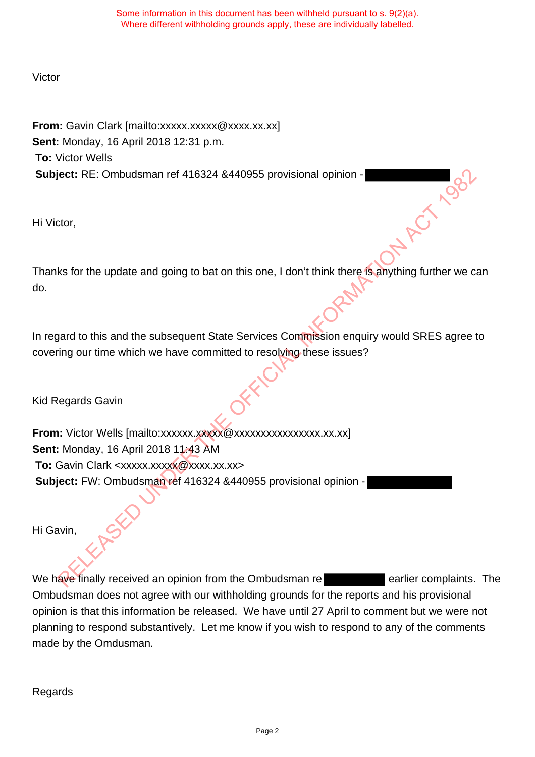# Victor

**From:** Gavin Clark [mailto:xxxxx.xxxxx @xxxx.xx.xx] **Sent:** Monday, 16 April 2018 12:31 p.m. **To:** Victor Wells **Subject:** RE: Ombudsman ref 416324 &440955 provisional opinion -

Hi Victor,

Thanks for the update and going to bat on this one, I don't think there is anything further we can do.

In regard to this and the subsequent State Services Commission enquiry would SRES agree to covering our time which we have committed to resolving these issues?

Kid Regards Gavin

**From:** Victor Wells [mailto:xxxxxx.xxxxxxxxxxxxxxxxxxxxx.xx.xx] **Sent:** Monday, 16 April 2018 11:43 AM **To:** Gavin Clark <xxxxx.xxxxx@xxxx.xx.xx> **Subject:** FW: Ombudsman ref 416324 &440955 provisional opinion eet: RE: Ombudsman ref 416324 8440955 provisional opinion -<br>Relation Contractor,<br>tor,<br>the update and going to bat on this one, I don't think there is anything further we co-<br>agard to this and the subsequent State Services

Hi Gavin,

We have finally received an opinion from the Ombudsman re **Example 2018** earlier complaints. The Ombudsman does not agree with our withholding grounds for the reports and his provisional opinion is that this information be released. We have until 27 April to comment but we were not planning to respond substantively. Let me know if you wish to respond to any of the comments made by the Omdusman.

Regards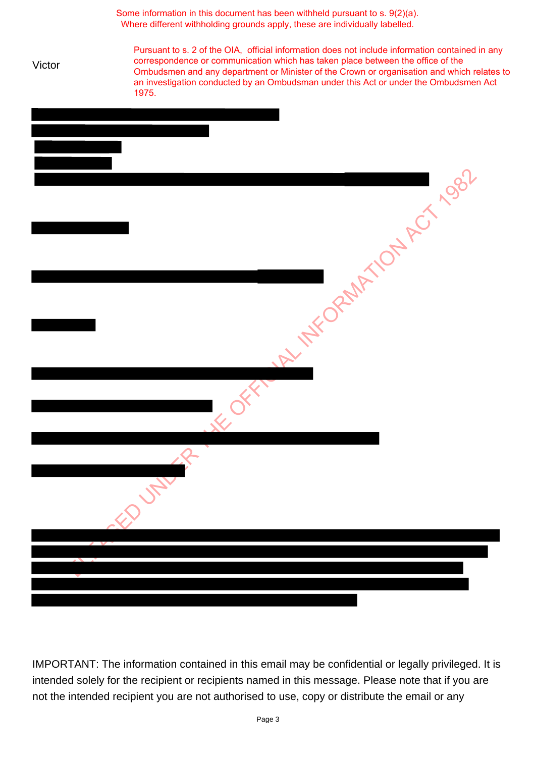|        | Some information in this document has been withheld pursuant to s. 9(2)(a).<br>Where different withholding grounds apply, these are individually labelled.                                                                                                                                                                                                                        |
|--------|-----------------------------------------------------------------------------------------------------------------------------------------------------------------------------------------------------------------------------------------------------------------------------------------------------------------------------------------------------------------------------------|
| Victor | Pursuant to s. 2 of the OIA, official information does not include information contained in any<br>correspondence or communication which has taken place between the office of the<br>Ombudsmen and any department or Minister of the Crown or organisation and which relates to<br>an investigation conducted by an Ombudsman under this Act or under the Ombudsmen Act<br>1975. |
|        |                                                                                                                                                                                                                                                                                                                                                                                   |
|        |                                                                                                                                                                                                                                                                                                                                                                                   |
|        | At 14FORMATION AS 1992                                                                                                                                                                                                                                                                                                                                                            |
|        |                                                                                                                                                                                                                                                                                                                                                                                   |
|        |                                                                                                                                                                                                                                                                                                                                                                                   |
|        | ED UNITED                                                                                                                                                                                                                                                                                                                                                                         |
|        |                                                                                                                                                                                                                                                                                                                                                                                   |
|        |                                                                                                                                                                                                                                                                                                                                                                                   |
|        |                                                                                                                                                                                                                                                                                                                                                                                   |

IMPORTANT: The information contained in this email may be confidential or legally privileged. It is intended solely for the recipient or recipients named in this message. Please note that if you are not the intended recipient you are not authorised to use, copy or distribute the email or any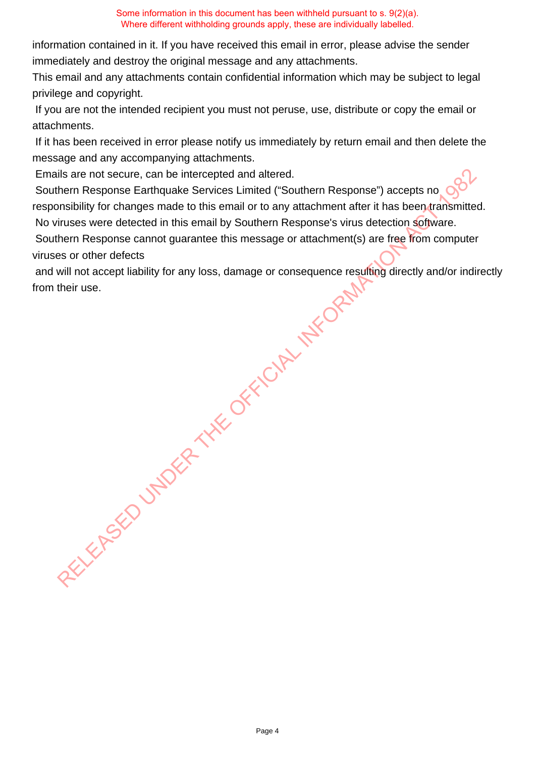information contained in it. If you have received this email in error, please advise the sender immediately and destroy the original message and any attachments.

This email and any attachments contain confidential information which may be subject to legal privilege and copyright.

 If you are not the intended recipient you must not peruse, use, distribute or copy the email or attachments.

 If it has been received in error please notify us immediately by return email and then delete the message and any accompanying attachments.

Emails are not secure, can be intercepted and altered.

 Southern Response Earthquake Services Limited ("Southern Response") accepts no responsibility for changes made to this email or to any attachment after it has been transmitted. No viruses were detected in this email by Southern Response's virus detection software.

 Southern Response cannot guarantee this message or attachment(s) are free from computer viruses or other defects

 and will not accept liability for any loss, damage or consequence resulting directly and/or indirectly from their use. RELEASED UNDER THE OFFICIAL INFORMATION

Page 4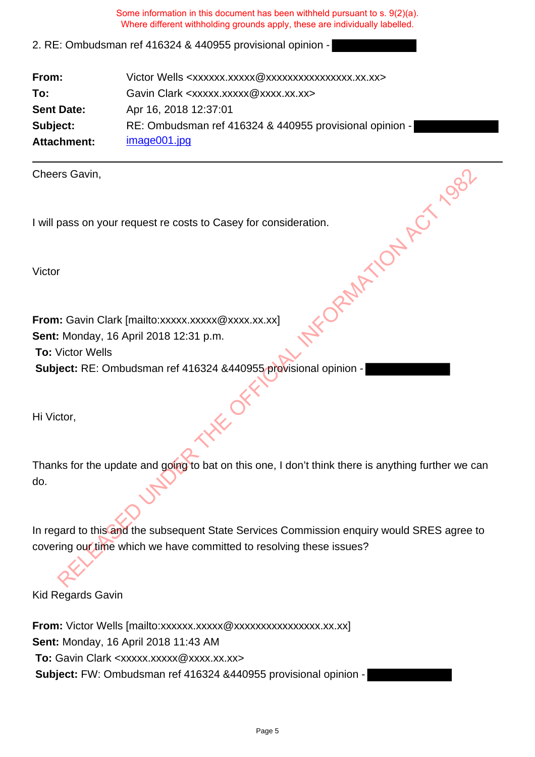## 2. RE: Ombudsman ref 416324 & 440955 provisional opinion -

| From:             | Victor Wells <xxxxxx.xxxxx @xxxxxxxxxxxxxxxx.xx.xx=""></xxxxxx.xxxxx> |
|-------------------|-----------------------------------------------------------------------|
| To:               | Gavin Clark <xxxxx.xxxxx @xxxx.xx.xx=""></xxxxx.xxxxx>                |
| <b>Sent Date:</b> | Apr 16, 2018 12:37:01                                                 |
| Subject:          | RE: Ombudsman ref 416324 & 440955 provisional opinion -               |
| Attachment:       | image001.jpg                                                          |

Cheers Gavin,

I will pass on your request re costs to Casey for consideration.

Victor

**From:** Gavin Clark [mailto:xxxxx.xxxxx @xxxx.xx.xx] **Sent:** Monday, 16 April 2018 12:31 p.m. **To:** Victor Wells **Subject:** RE: Ombudsman ref 416324 &440955 provisional opinion - EXXXXIII AND RELEASED UNDER THE OFFICIAL ISLANDS

Hi Victor,

| Thanks for the update and going to bat on this one, I don't think there is anything further we can |  |  |  |
|----------------------------------------------------------------------------------------------------|--|--|--|
| do.                                                                                                |  |  |  |

In regard to this and the subsequent State Services Commission enquiry would SRES agree to covering our time which we have committed to resolving these issues?

Kid Regards Gavin

From: Victor Wells [mailto:xxxxxx.xxxxxxxxxxxxxxxxxxxx.xx.xx] **Sent:** Monday, 16 April 2018 11:43 AM **To:** Gavin Clark <xxxxx.xxxxx@xxxx.xx.xx> **Subject:** FW: Ombudsman ref 416324 &440955 provisional opinion -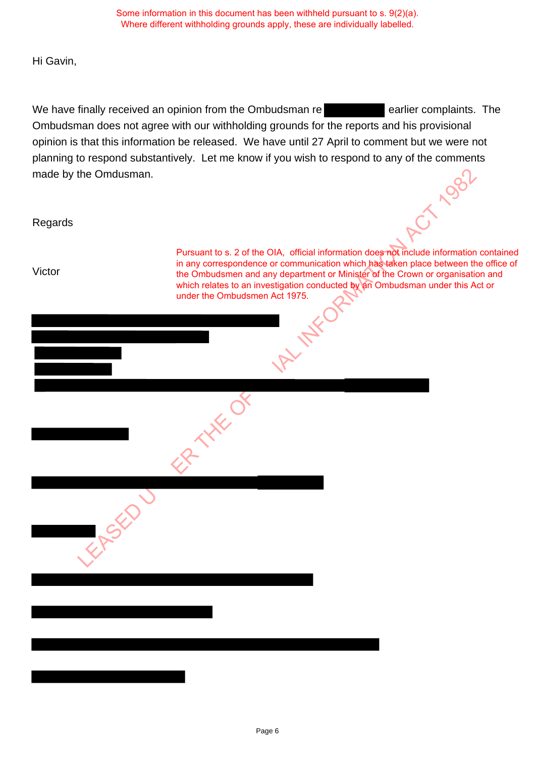Hi Gavin,

We have finally received an opinion from the Ombudsman re **Example 20** earlier complaints. The Ombudsman does not agree with our withholding grounds for the reports and his provisional opinion is that this information be released. We have until 27 April to comment but we were not planning to respond substantively. Let me know if you wish to respond to any of the comments made by the Omdusman. made by the Omdusman.

Regards

Victor

Pursuant to s. 2 of the OIA, official information does not include information contained in any correspondence or communication which has taken place between the office of the Ombudsmen and any department or Minister of the Crown or organisation and which relates to an investigation conducted by an Ombudsman under this Act or under the Ombudsmen Act 1975. Pursuant to s. 2 of the OIA, official information does required information<br>in any correspondence or communication which has teller place between the<br>the Ombudsmen and any department of Minister of the Crown or organisatio

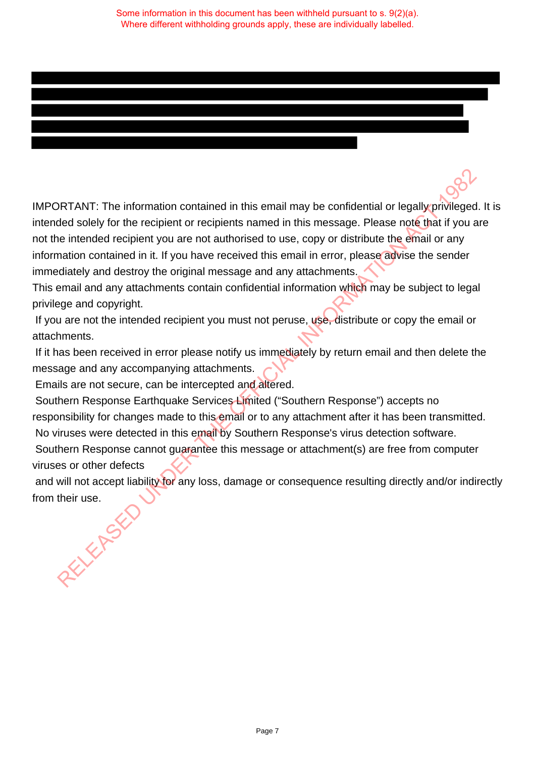IMPORTANT: The information contained in this email may be confidential or legally privileged. It is intended solely for the recipient or recipients named in this message. Please note that if you are not the intended recipient you are not authorised to use, copy or distribute the email or any information contained in it. If you have received this email in error, please advise the sender immediately and destroy the original message and any attachments. **DRTANT:** The information contained in this email may be confidential or legally privileged<br>bed solely for the recipient or recipients named in this message. Please note that if you a<br>le intended recipient you are not auth

This email and any attachments contain confidential information which may be subject to legal privilege and copyright.

If you are not the intended recipient you must not peruse, use, distribute or copy the email or attachments.

 If it has been received in error please notify us immediately by return email and then delete the message and any accompanying attachments.

Emails are not secure, can be intercepted and altered.

 Southern Response Earthquake Services Limited ("Southern Response") accepts no responsibility for changes made to this email or to any attachment after it has been transmitted. No viruses were detected in this email by Southern Response's virus detection software.

 Southern Response cannot guarantee this message or attachment(s) are free from computer viruses or other defects

and will not accept liability for any loss, damage or consequence resulting directly and/or indirectly from their use.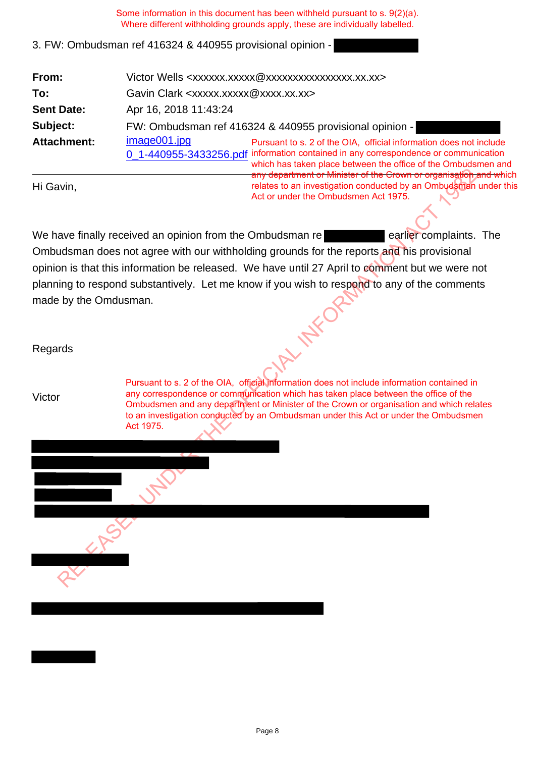#### 3. FW: Ombudsman ref 416324 & 440955 provisional opinion -

| From:              | Victor Wells <xxxxxx.xxxxx@xxxxxxxxxxxxxxxx.xx.xx></xxxxxx.xxxxx@xxxxxxxxxxxxxxxx.xx.xx>                                                                                                                                                   |  |  |
|--------------------|--------------------------------------------------------------------------------------------------------------------------------------------------------------------------------------------------------------------------------------------|--|--|
| To:                | Gavin Clark <xxxxx.xxxxx@xxxx.xx.xx></xxxxx.xxxxx@xxxx.xx.xx>                                                                                                                                                                              |  |  |
| <b>Sent Date:</b>  | Apr 16, 2018 11:43:24                                                                                                                                                                                                                      |  |  |
| Subject:           | FW: Ombudsman ref 416324 & 440955 provisional opinion -                                                                                                                                                                                    |  |  |
| <b>Attachment:</b> | image001.jpg<br>Pursuant to s. 2 of the OIA, official information does not include<br>0_1-440955-3433256.pdf information contained in any correspondence or communication<br>which has taken place between the office of the Ombudsmen and |  |  |
| Hi Gavin,          | any department or Minister of the Crown or organisation and which<br>relates to an investigation conducted by an Ombudsman under this<br>Act or under the Ombudsmen Act 1975.                                                              |  |  |

We have finally received an opinion from the Ombudsman re **Example 2018** earlier complaints. The Ombudsman does not agree with our withholding grounds for the reports and his provisional opinion is that this information be released. We have until 27 April to comment but we were not planning to respond substantively. Let me know if you wish to respond to any of the comments made by the Omdusman. For the Comparatorial Microsoften Comparison in the Comparison of the Comparison of the Comparison and the School of the reports and his provisional and despite the output of the comparison of the reports and his provision

Regards

Victor

Pursuant to s. 2 of the OIA, official information does not include information contained in any correspondence or communication which has taken place between the office of the Ombudsmen and any department or Minister of the Crown or organisation and which relates to an investigation conducted by an Ombudsman under this Act or under the Ombudsmen Act 1975.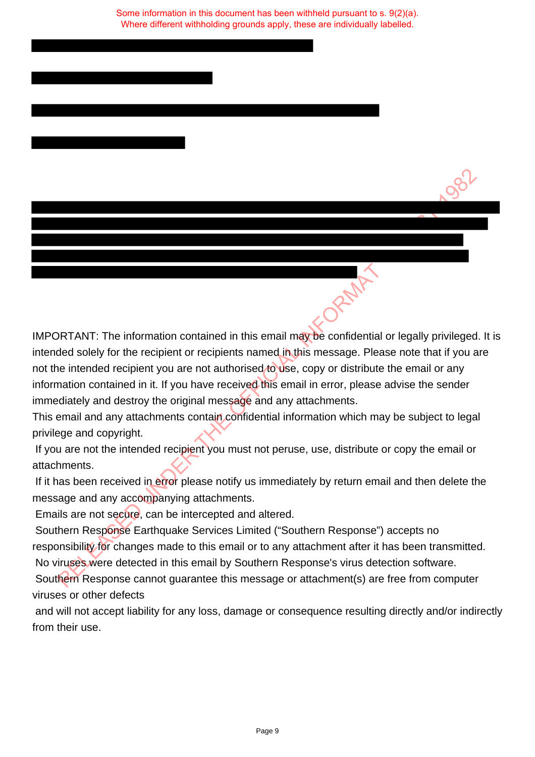IMPORTANT: The information contained in this email may be confidential or legally privileged. It is intended solely for the recipient or recipients named in this message. Please note that if you are not the intended recipient you are not authorised to use, copy or distribute the email or any information contained in it. If you have received this email in error, please advise the sender immediately and destroy the original message and any attachments. **EXERCT THE INTERT INTERT IN THE INTERTATE:** The information contained in this email may be confidential or legally privileged<br>ted solely for the recipient or recipients named in this message. Please note that if you a<br>mat

This email and any attachments contain confidential information which may be subject to legal privilege and copyright.

 If you are not the intended recipient you must not peruse, use, distribute or copy the email or attachments.

If it has been received in error please notify us immediately by return email and then delete the message and any accompanying attachments.

Emails are not secure, can be intercepted and altered.

 Southern Response Earthquake Services Limited ("Southern Response") accepts no responsibility for changes made to this email or to any attachment after it has been transmitted. No viruses were detected in this email by Southern Response's virus detection software.

 Southern Response cannot guarantee this message or attachment(s) are free from computer viruses or other defects

 and will not accept liability for any loss, damage or consequence resulting directly and/or indirectly from their use.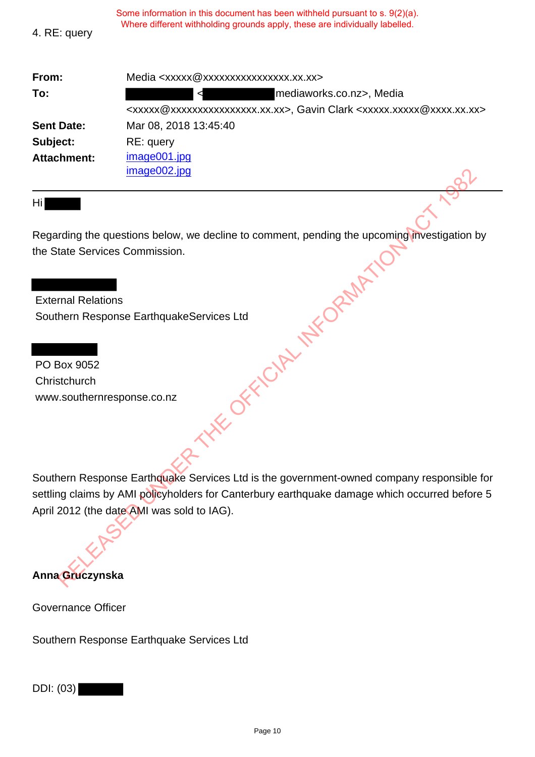| 4. RE: query       | Where different withholding grounds apply, these are individually labelled.                                                    |
|--------------------|--------------------------------------------------------------------------------------------------------------------------------|
| From:              | Media <xxxxx@xxxxxxxxxxxxxxxx.xx.xx></xxxxx@xxxxxxxxxxxxxxxx.xx.xx>                                                            |
| To:                | mediaworks.co.nz>, Media                                                                                                       |
|                    | <xxxxx@xxxxxxxxxxxxxxx.xx.xx.y>, Gavin Clark <xxxxx.xxxxx@xxxx.xx.xx></xxxxx.xxxxx@xxxx.xx.xx></xxxxx@xxxxxxxxxxxxxxx.xx.xx.y> |
| <b>Sent Date:</b>  | Mar 08, 2018 13:45:40                                                                                                          |
| Subject:           | RE: query                                                                                                                      |
| <b>Attachment:</b> | image001.jpg                                                                                                                   |
|                    | image002.jpg                                                                                                                   |

Some information in this document has been withheld pursuant to s. 9(2)(a).

Hi

Regarding the questions below, we decline to comment, pending the upcoming investigation by the State Services Commission. THE OFFICIAL INFORMATIC

 External Relations Southern Response EarthquakeServices Ltd

 PO Box 9052 **Christchurch** www.southernresponse.co.nz

Southern Response Earthquake Services Ltd is the government-owned company responsible for settling claims by AMI policyholders for Canterbury earthquake damage which occurred before 5 April 2012 (the date AMI was sold to IAG).

# **Anna Gruczynska**

Governance Officer

Southern Response Earthquake Services Ltd

DDI: (03)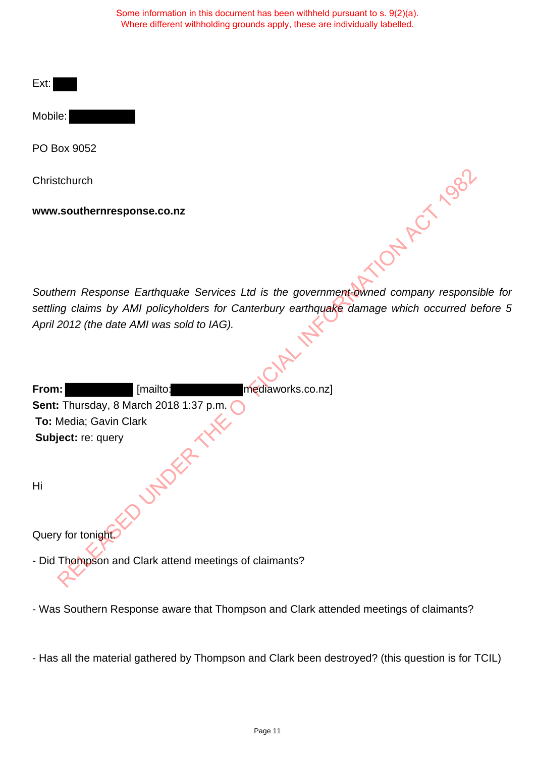Ext:

Mobile:

PO Box 9052

Southern Response Earthquake Services Ltd is the government-owned company responsible for settling claims by AMI policyholders for Canterbury earthquake damage which occurred before 5 April 2012 (the date AMI was sold to IAG).

| Christchurch                                                                           |
|----------------------------------------------------------------------------------------|
| www.southernresponse.co.nz                                                             |
| A ACTIOS                                                                               |
| Southern Response Earthquake Services Ltd is the government-owned company respons      |
| settling claims by AMI policyholders for Canterbury earthquake damage which occurred b |
| April 2012 (the date AMI was sold to IAG).                                             |
|                                                                                        |
|                                                                                        |
| mediaworks.co.nz]<br>From:<br>[mailto:                                                 |
| Sent: Thursday, 8 March 2018 1:37 p.m.                                                 |
| To: Media; Gavin Clark                                                                 |
|                                                                                        |
| Subject: re: query                                                                     |
| Hi                                                                                     |
| Query for tonight.                                                                     |
|                                                                                        |
| - Did Thompson and Clark attend meetings of claimants?                                 |

- Was Southern Response aware that Thompson and Clark attended meetings of claimants?

- Has all the material gathered by Thompson and Clark been destroyed? (this question is for TCIL)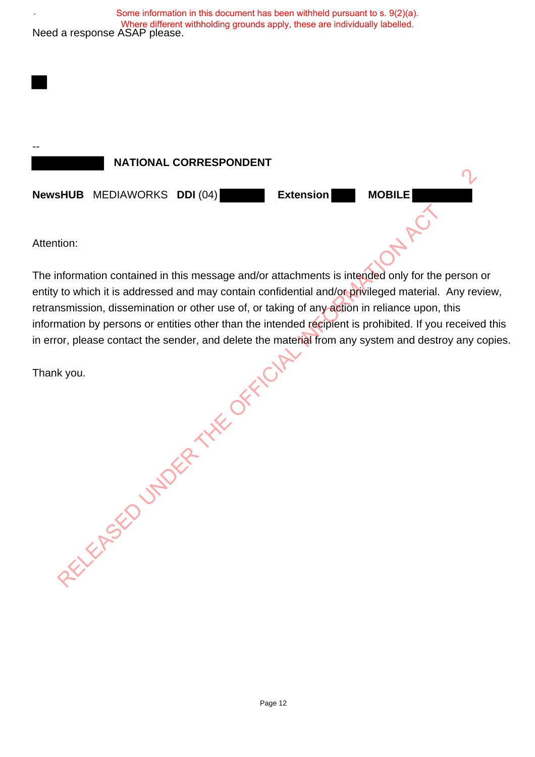

The information contained in this message and/or attachments is intended only for the person or entity to which it is addressed and may contain confidential and/or privileged material. Any review, retransmission, dissemination or other use of, or taking of any action in reliance upon, this information by persons or entities other than the intended recipient is prohibited. If you received this in error, please contact the sender, and delete the material from any system and destroy any copies. ention:<br>
information contained in this message and/or attachments is intended only for ty<br>
ty to which it is addressed and may contain confidential and/or-privileged materix<br>
insmission, dissemination or other use of, or t

Thank you.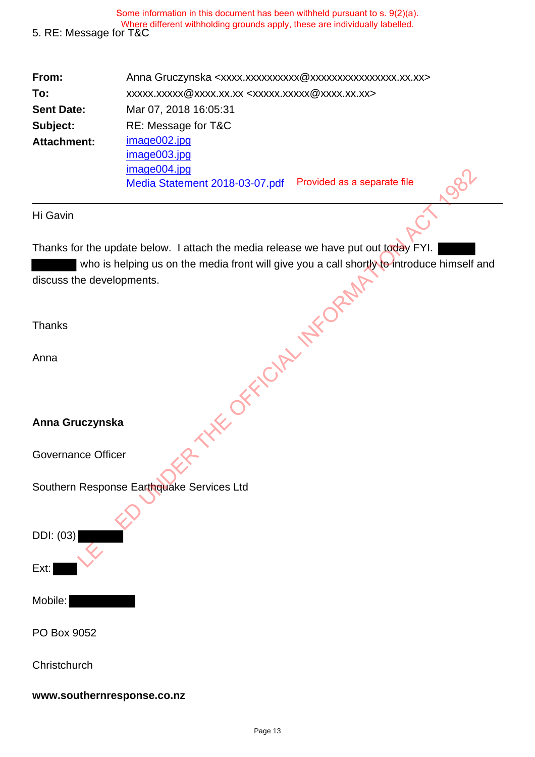| From:              | Anna Gruczynska <xxxx.xxxxxxxxxxx @xxxxxxxxxxxxxxxx.xx.xx=""></xxxx.xxxxxxxxxxx> |  |  |
|--------------------|----------------------------------------------------------------------------------|--|--|
| To:                | xxxxx.xxxx @xxxx.xx.xx <xxxxx.xxxxx @xxxx.xx.xx=""></xxxxx.xxxxx>                |  |  |
| <b>Sent Date:</b>  | Mar 07, 2018 16:05:31                                                            |  |  |
| Subject:           | RE: Message for T&C                                                              |  |  |
| <b>Attachment:</b> | image002.jpg                                                                     |  |  |
|                    | image003.jpg                                                                     |  |  |
|                    | image004.jpg                                                                     |  |  |
|                    | Provided as a separate file<br>Media Statement 2018-03-07.pdf                    |  |  |

#### Hi Gavin

Thanks for the update below. I attach the media release we have put out today FYI. who is helping us on the media front will give you a call shortly to introduce himself and discuss the developments. THE OFFICIAL INFORMATION

**Thanks** 

Anna

## **Anna Gruczynska**

Governance Officer

Southern Response Earthquake Services Ltd

DDI: (03)

Ext:

Mobile:

PO Box 9052

**Christchurch** 

#### **www.southernresponse.co.nz**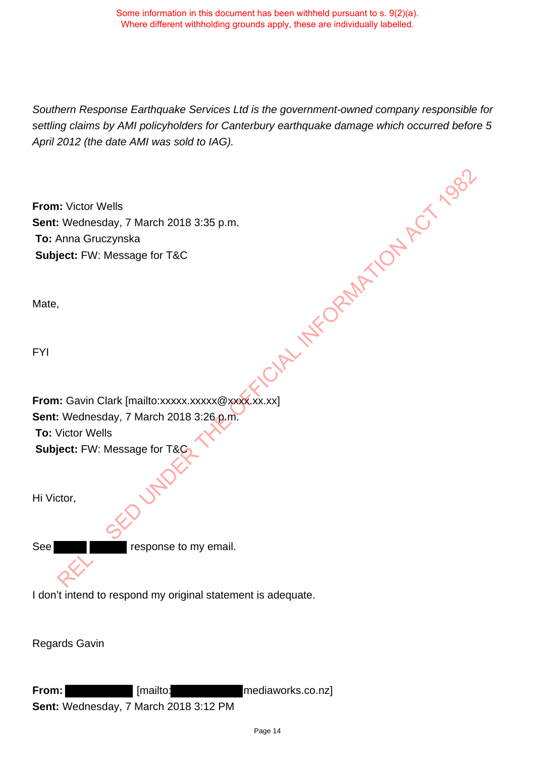Southern Response Earthquake Services Ltd is the government-owned company responsible for settling claims by AMI policyholders for Canterbury earthquake damage which occurred before 5 April 2012 (the date AMI was sold to IAG). CIRL INFORMATION ACT 1982

**From:** Victor Wells **Sent:** Wednesday, 7 March 2018 3:35 p.m. **To:** Anna Gruczynska **Subject:** FW: Message for T&C

Mate,

FYI

**From:** Gavin Clark [mailto:xxxxx.xxxxx @xxxx.xx.xx] **Sent:** Wednesday, 7 March 2018 3:26 p.m. **To:** Victor Wells **Subject:** FW: Message for T&C

Hi Victor,

See **response to my email.** 

I don't intend to respond my original statement is adequate.

Regards Gavin

**From:** [mailto: mediaworks.co.nz] **Sent:** Wednesday, 7 March 2018 3:12 PM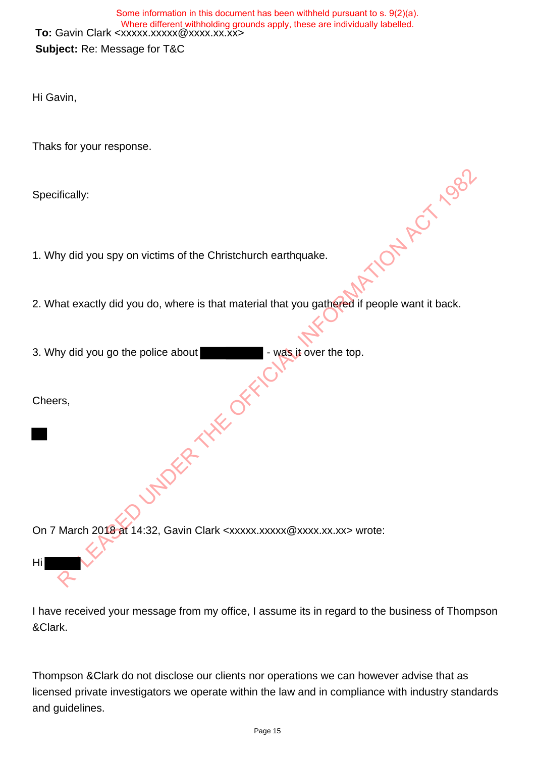**To:** Gavin Clark <xxxxx.xxxxx@xxxx.xx.xx> **Subject:** Re: Message for T&C Some information in this document has been withheld pursuant to s. 9(2)(a). Where different withholding grounds apply, these are individually labelled.

Hi Gavin,

Thaks for your response.

Specifically:

- 1. Why did you spy on victims of the Christchurch earthquake.
- 2. What exactly did you do, where is that material that you gathered if people want it back. victims of the Christchurch earthquake.<br>
1 do, where is that material that you gathefed if people want it back.<br>
The office about the context of the top.<br>
The office of the context of the top.
- 3. Why did you go the police about **Fig. 2.** was it over the top.

Cheers,

Hi

On 7 March 2018 at 14:32, Gavin Clark <xxxxx.xxxxx@xxxx.xx.xx> wrote:

I have received your message from my office, I assume its in regard to the business of Thompson &Clark.

Thompson &Clark do not disclose our clients nor operations we can however advise that as licensed private investigators we operate within the law and in compliance with industry standards and guidelines.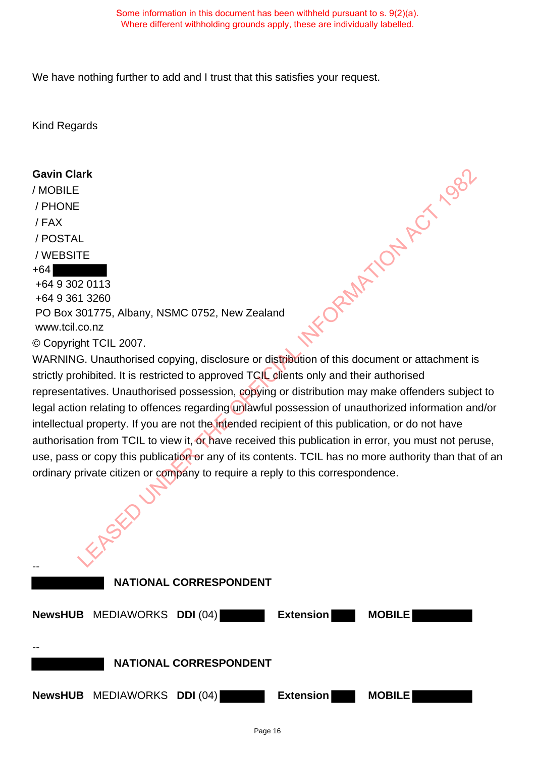We have nothing further to add and I trust that this satisfies your request.

Kind Regards

#### **Gavin Clark**

/ MOBILE / PHONE / FAX / POSTAL / WEBSITE +64 +64 9 302 0113 +64 9 361 3260 PO Box 301775, Albany, NSMC 0752, New Zealand

www.tcil.co.nz

© Copyright TCIL 2007.

WARNING. Unauthorised copying, disclosure or distribution of this document or attachment is strictly prohibited. It is restricted to approved TCIL clients only and their authorised representatives. Unauthorised possession, copying or distribution may make offenders subject to legal action relating to offences regarding unlawful possession of unauthorized information and/or intellectual property. If you are not the intended recipient of this publication, or do not have authorisation from TCIL to view it, or have received this publication in error, you must not peruse, use, pass or copy this publication or any of its contents. TCIL has no more authority than that of an ordinary private citizen or company to require a reply to this correspondence. LETTENTIFY, Albany, NSMC 0752, New Zealand<br>
The CIL 2007.<br>
The CIL 2007.<br>
LEAD UNIVERSITY OF SCRIPTION OF THE OCCUPATION CONTROL CONTROL UNIVERSITY UNIVERSITY UNIVERSITY THAT INTO THE<br>
LINE UNIVERSITY OF THE OFFICIAL INTER

--  **NATIONAL CORRESPONDENT NewsHUB** MEDIAWORKS **DDI** (04) **Extension MOBILE** --  **NATIONAL CORRESPONDENT NewsHUB** MEDIAWORKS **DDI** (04) **Extension MOBILE**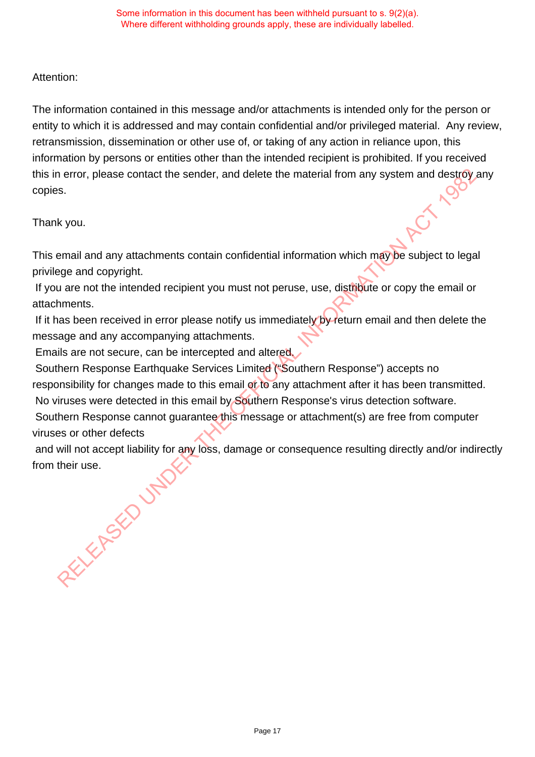## Attention:

The information contained in this message and/or attachments is intended only for the person or entity to which it is addressed and may contain confidential and/or privileged material. Any review, retransmission, dissemination or other use of, or taking of any action in reliance upon, this information by persons or entities other than the intended recipient is prohibited. If you received this in error, please contact the sender, and delete the material from any system and destroy any copies.

Thank you.

This email and any attachments contain confidential information which may be subject to legal privilege and copyright.

 If you are not the intended recipient you must not peruse, use, distribute or copy the email or attachments.

If it has been received in error please notify us immediately by return email and then delete the message and any accompanying attachments.

Emails are not secure, can be intercepted and altered.

 Southern Response Earthquake Services Limited ("Southern Response") accepts no responsibility for changes made to this email of to any attachment after it has been transmitted. neror, please contact the sender, and delete the material from any system and destroy,<br>s.<br>S.<br>Nevou.<br>The value of any attachments contain confidential information which may be subject to legating<br>and any attachments.<br>In the

No viruses were detected in this email by Southern Response's virus detection software.

 Southern Response cannot guarantee this message or attachment(s) are free from computer viruses or other defects

and will not accept liability for any loss, damage or consequence resulting directly and/or indirectly from their use.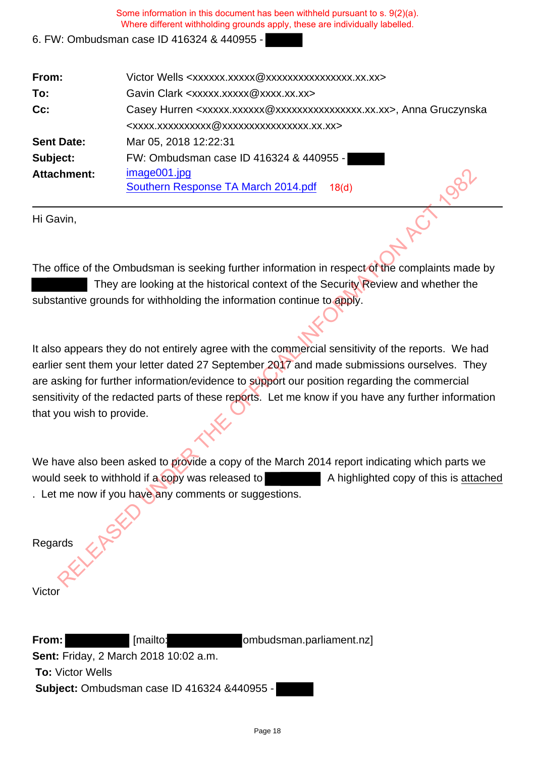## 6. FW: Ombudsman case ID 416324 & 440955 -

| From:              | Victor Wells <xxxxxx.xxxxx @xxxxxxxxxxxxxxxx.xx.xx=""></xxxxxx.xxxxx>                  |  |  |
|--------------------|----------------------------------------------------------------------------------------|--|--|
| To:                | Gavin Clark <xxxxx.xxxxx@xxxx.xx.xx></xxxxx.xxxxx@xxxx.xx.xx>                          |  |  |
| Cc:                | Casey Hurren <xxxxx.xxxxxx @xxxxxxxxxxxxxxxx.xx.xx="">, Anna Gruczynska</xxxxx.xxxxxx> |  |  |
|                    | <xxxx.xxxxxxxxx @xxxxxxxxxxxxxxxx.xx.xx=""></xxxx.xxxxxxxxx>                           |  |  |
| <b>Sent Date:</b>  | Mar 05, 2018 12:22:31                                                                  |  |  |
| Subject:           | FW: Ombudsman case ID 416324 & 440955 -                                                |  |  |
| <b>Attachment:</b> | image001.jpg                                                                           |  |  |
|                    | 384<br>Southern Response TA March 2014.pdf<br>18 <sub>(d)</sub>                        |  |  |

Hi Gavin,

The office of the Ombudsman is seeking further information in respect of the complaints made by They are looking at the historical context of the Security Review and whether the substantive grounds for withholding the information continue to apply.

It also appears they do not entirely agree with the commercial sensitivity of the reports. We had earlier sent them your letter dated 27 September 2017 and made submissions ourselves. They are asking for further information/evidence to support our position regarding the commercial sensitivity of the redacted parts of these reports. Let me know if you have any further information that you wish to provide. Example: image001.jpg<br>
Southern Response TA March 2014.pdf 18(d)<br>
Win,<br>
southern Response TA March 2014.pdf 18(d)<br>
They are looking at the historical context of the Security Review and whether the<br>
They are looking at the

We have also been asked to provide a copy of the March 2014 report indicating which parts we would seek to withhold if a copy was released to A highlighted copy of this is attached . Let me now if you have any comments or suggestions.

Regards

**Victor** 

**From:** [mailto: combudsman.parliament.nz] **Sent:** Friday, 2 March 2018 10:02 a.m. **To:** Victor Wells **Subject:** Ombudsman case ID 416324 &440955 -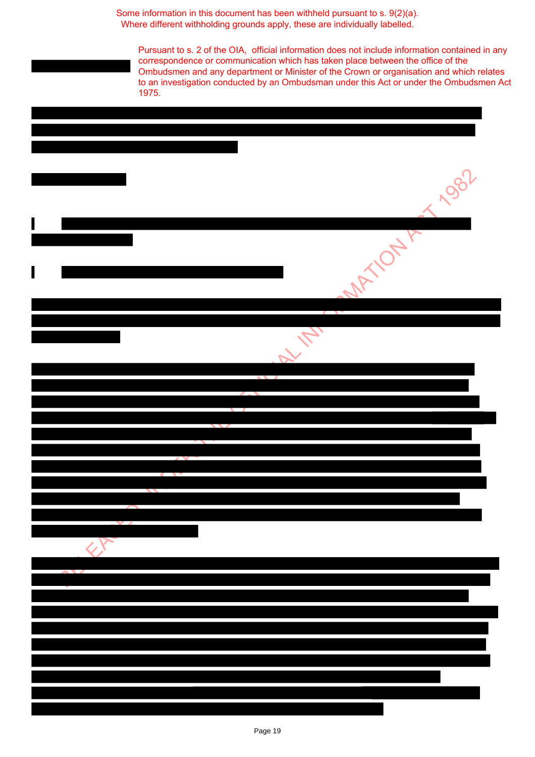Pursuant to s. 2 of the OIA, official information does not include information contained in any correspondence or communication which has taken place between the office of the Ombudsmen and any department or Minister of the Crown or organisation and which relates to an investigation conducted by an Ombudsman under this Act or under the Ombudsmen Act 1975.

| 1 1982                                         |
|------------------------------------------------|
| <b>MATIONAL</b>                                |
| $\overline{\phantom{a}}$<br>AL M<br>$\sqrt{1}$ |
|                                                |
|                                                |
|                                                |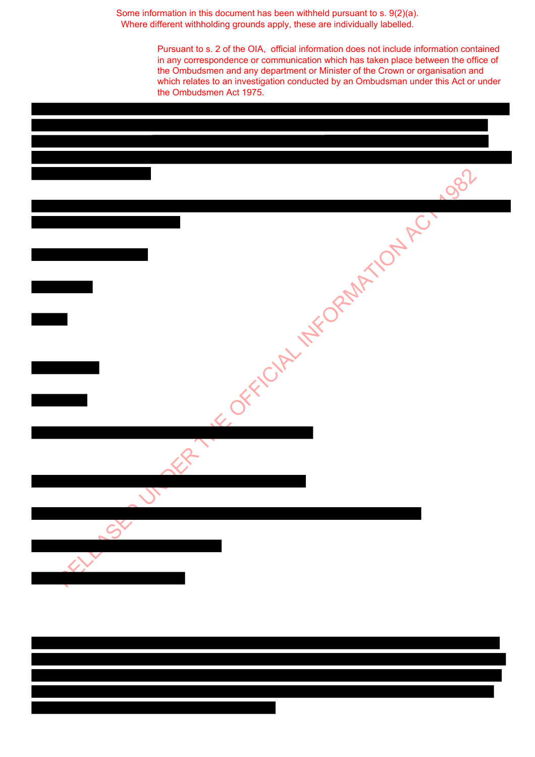> Pursuant to s. 2 of the OIA, official information does not include information contained in any correspondence or communication which has taken place between the office of the Ombudsmen and any department or Minister of the Crown or organisation and which relates to an investigation conducted by an Ombudsman under this Act or under the Ombudsmen Act 1975.

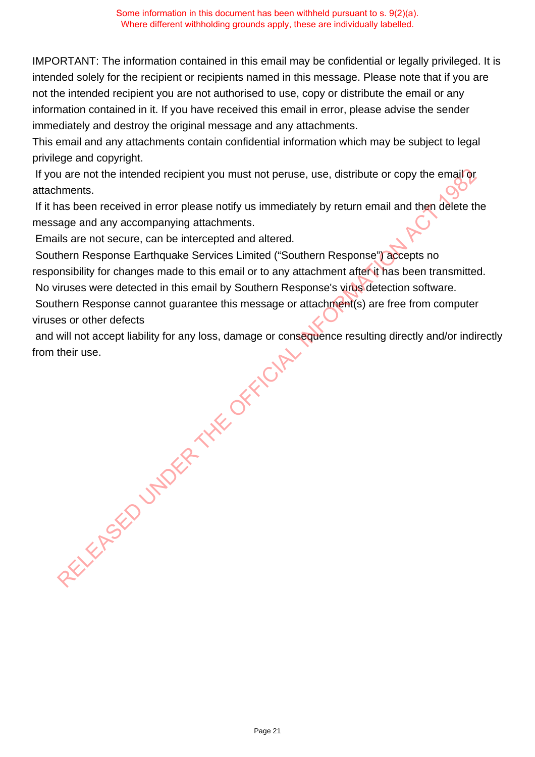IMPORTANT: The information contained in this email may be confidential or legally privileged. It is intended solely for the recipient or recipients named in this message. Please note that if you are not the intended recipient you are not authorised to use, copy or distribute the email or any information contained in it. If you have received this email in error, please advise the sender immediately and destroy the original message and any attachments.

This email and any attachments contain confidential information which may be subject to legal privilege and copyright.

If you are not the intended recipient you must not peruse, use, distribute or copy the email or attachments.

 If it has been received in error please notify us immediately by return email and then delete the message and any accompanying attachments.

Emails are not secure, can be intercepted and altered.

 Southern Response Earthquake Services Limited ("Southern Response") accepts no responsibility for changes made to this email or to any attachment after it has been transmitted. No viruses were detected in this email by Southern Response's virus detection software.

 Southern Response cannot guarantee this message or attachment(s) are free from computer viruses or other defects

and will not accept liability for any loss, damage or consequence resulting directly and/or indirectly from their use. RELEASED UNDER THE OFFICIAL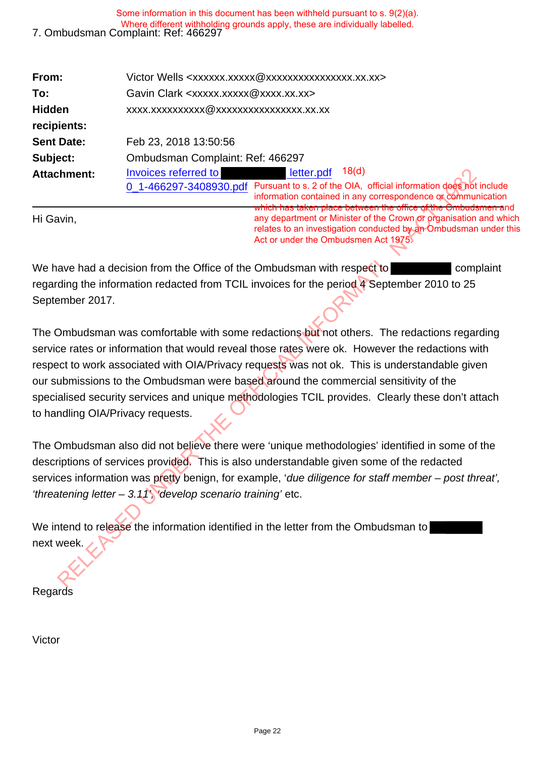| Some information in this document has been withheld pursuant to s. 9(2)(a).<br>Where different withholding grounds apply, these are individually labelled.<br>7. Ombudsman Complaint: Ref: 466297 |                                                                                                                                                                                                                                      |  |
|---------------------------------------------------------------------------------------------------------------------------------------------------------------------------------------------------|--------------------------------------------------------------------------------------------------------------------------------------------------------------------------------------------------------------------------------------|--|
| From:                                                                                                                                                                                             | Victor Wells <xxxxxx.xxxxx @xxxxxxxxxxxxxxxx.xx.xx=""></xxxxxx.xxxxx>                                                                                                                                                                |  |
| To:                                                                                                                                                                                               | Gavin Clark <xxxxx.xxxxx@xxxx.xx.xx></xxxxx.xxxxx@xxxx.xx.xx>                                                                                                                                                                        |  |
| <b>Hidden</b>                                                                                                                                                                                     | xxxx.xxxxxxxxxxxxxxxxxxxxxxxxx.xx.xx                                                                                                                                                                                                 |  |
| recipients:                                                                                                                                                                                       |                                                                                                                                                                                                                                      |  |
| <b>Sent Date:</b>                                                                                                                                                                                 | Feb 23, 2018 13:50:56                                                                                                                                                                                                                |  |
| Subject:                                                                                                                                                                                          | Ombudsman Complaint: Ref: 466297                                                                                                                                                                                                     |  |
| <b>Attachment:</b>                                                                                                                                                                                | 18(d)<br>Invoices referred to<br>letter.pdf                                                                                                                                                                                          |  |
|                                                                                                                                                                                                   | Pursuant to s. 2 of the OIA, official information does not include<br>0_1-466297-3408930.pdf<br>information contained in any correspondence or communication<br><u>hnich hae delta adhaa saita adt naaudad aasla nayst sed daid.</u> |  |

Hi Gavin,

between the office of the O any department or Minister of the Crown or organisation and which relates to an investigation conducted by an Ombudsman under this Act or under the Ombudsmen Act 1975.

We have had a decision from the Office of the Ombudsman with respect to complaint regarding the information redacted from TCIL invoices for the period 4 September 2010 to 25 September 2017.

The Ombudsman was comfortable with some redactions but not others. The redactions regarding service rates or information that would reveal those rates were ok. However the redactions with respect to work associated with OIA/Privacy requests was not ok. This is understandable given our submissions to the Ombudsman were based around the commercial sensitivity of the specialised security services and unique methodologies TCIL provides. Clearly these don't attach to handling OIA/Privacy requests. The three internal to the motion of the team of the team of the team of the team of the section of the commutation of the commutation of the commutation of the commutation of the commutation of the commutation of the commu

The Ombudsman also did not believe there were 'unique methodologies' identified in some of the descriptions of services provided. This is also understandable given some of the redacted services information was pretty benign, for example, 'due diligence for staff member – post threat', 'threatening letter  $-3.11$ ', 'develop scenario training' etc.

We intend to release the information identified in the letter from the Ombudsman to next week.

**Regards** 

Victor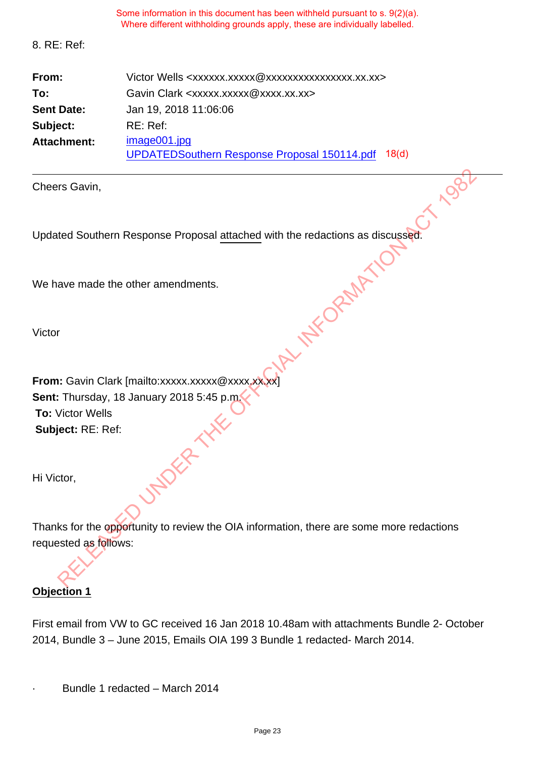|                    | Some information in this document has been withheld pursuant to s. 9(2)(a).<br>Where different withholding grounds apply, these are individually labelled. |
|--------------------|------------------------------------------------------------------------------------------------------------------------------------------------------------|
| 8. RE: Ref:        |                                                                                                                                                            |
| From:              | Victor Wells <xxxxxx.xxxxx@xxxxxxxxxxxxxxxx.xx.xx></xxxxxx.xxxxx@xxxxxxxxxxxxxxxx.xx.xx>                                                                   |
| To:                | Gavin Clark <xxxxx.xxxxx@xxxx.xx.xx></xxxxx.xxxxx@xxxx.xx.xx>                                                                                              |
| <b>Sent Date:</b>  | Jan 19, 2018 11:06:06                                                                                                                                      |
| Subject:           | RE: Ref:                                                                                                                                                   |
| <b>Attachment:</b> | image001.jpg<br><b>UPDATEDSouthern Response Proposal 150114.pdf</b><br>18 <sub>d</sub>                                                                     |

| Cheers Gavin,                                                                 |
|-------------------------------------------------------------------------------|
|                                                                               |
| Updated Southern Response Proposal attached with the redactions as discussed. |
|                                                                               |
| We have made the other amendments.                                            |
|                                                                               |
| Victor                                                                        |
|                                                                               |
| From: Gavin Clark [mailto:xxxxx.xxxxx@xxxx.xxxx]                              |
| Sent: Thursday, 18 January 2018 5:45 p.m.                                     |
| <b>To: Victor Wells</b>                                                       |
| Subject: RE: Ref:                                                             |
|                                                                               |
| Hi Victor,                                                                    |
|                                                                               |

Thanks for the opportunity to review the OIA information, there are some more redactions requested as follows:

# **Objection 1**

First email from VW to GC received 16 Jan 2018 10.48am with attachments Bundle 2- October 2014, Bundle 3 – June 2015, Emails OIA 199 3 Bundle 1 redacted- March 2014.

Bundle 1 redacted - March 2014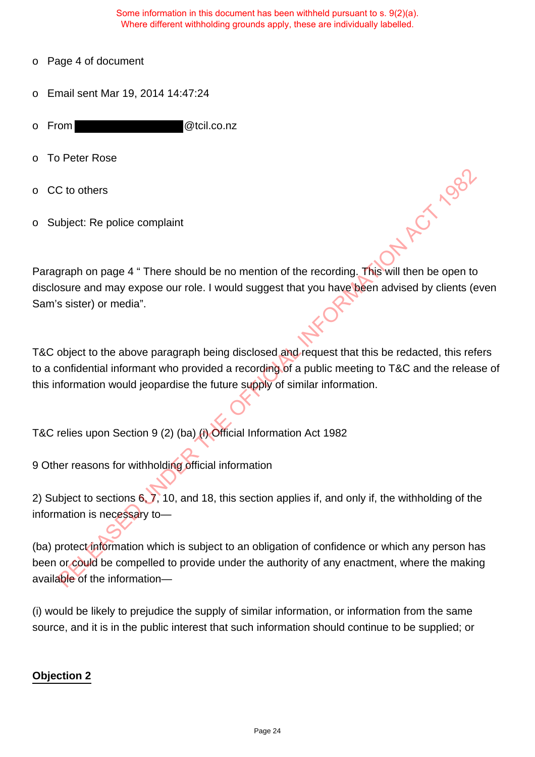- o Page 4 of document
- o Email sent Mar 19, 2014 14:47:24
- o From @tcil.co.nz
- o To Peter Rose
- o CC to others
- o Subject: Re police complaint

Paragraph on page 4 " There should be no mention of the recording. This will then be open to disclosure and may expose our role. I would suggest that you have been advised by clients (even Sam's sister) or media".

T&C object to the above paragraph being disclosed and request that this be redacted, this refers to a confidential informant who provided a recording of a public meeting to T&C and the release of this information would jeopardise the future supply of similar information.

T&C relies upon Section 9 (2) (ba) (i) Official Information Act 1982

9 Other reasons for withholding official information

2) Subject to sections 6, 7, 10, and 18, this section applies if, and only if, the withholding of the information is necessary to—

(ba) protect information which is subject to an obligation of confidence or which any person has been or could be compelled to provide under the authority of any enactment, where the making available of the information— C to others<br>
Digiect: Re police complaint<br>
Straph on page 4  $^{\circ}$  There should be no mention of the recording. This will then be open to<br>
susue and may expose our role. I would suggest that you have been advised by clien

(i) would be likely to prejudice the supply of similar information, or information from the same source, and it is in the public interest that such information should continue to be supplied; or

## **Objection 2**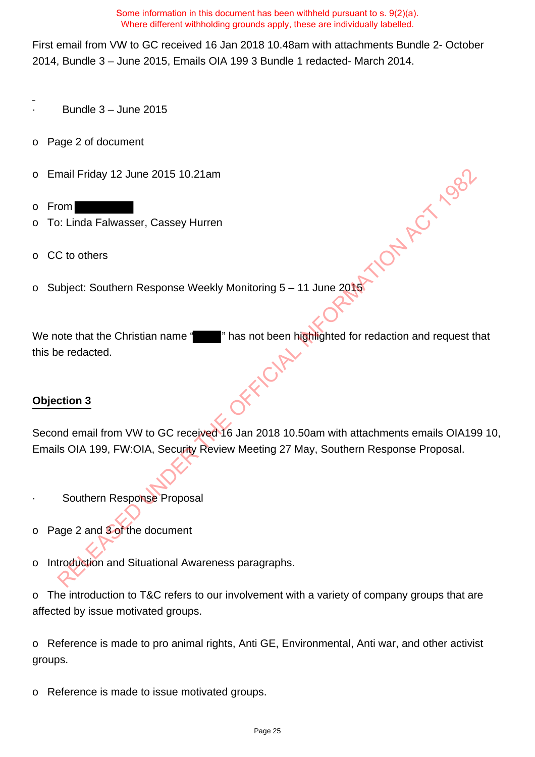First email from VW to GC received 16 Jan 2018 10.48am with attachments Bundle 2- October 2014, Bundle 3 – June 2015, Emails OIA 199 3 Bundle 1 redacted- March 2014.

- · Bundle 3 June 2015
- o Page 2 of document
- o Email Friday 12 June 2015 10.21am
- o From
- o To: Linda Falwasser, Cassey Hurren
- o CC to others
- o Subject: Southern Response Weekly Monitoring 5 11 June 2015

We note that the Christian name " " " " has not been highlighted for redaction and request that this be redacted. mail Friday 12 June 2015 10.21am<br>
Stringthard School Contents<br>
City of the Fall and School Contents<br>
City of the Christian name and the Christian name and the Christian name<br>
of the that the Christian name and The Content

## **Objection 3**

Second email from VW to GC received 16 Jan 2018 10.50am with attachments emails OIA199 10, Emails OIA 199, FW:OIA, Security Review Meeting 27 May, Southern Response Proposal.

- Southern Response Proposal
- o Page 2 and 3 of the document
- o Introduction and Situational Awareness paragraphs.

o The introduction to T&C refers to our involvement with a variety of company groups that are affected by issue motivated groups.

o Reference is made to pro animal rights, Anti GE, Environmental, Anti war, and other activist groups.

o Reference is made to issue motivated groups.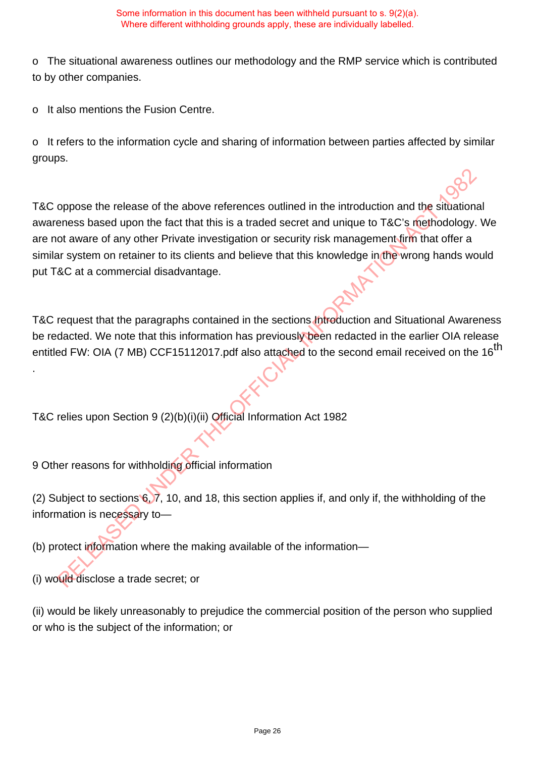o The situational awareness outlines our methodology and the RMP service which is contributed to by other companies.

o It also mentions the Fusion Centre.

o It refers to the information cycle and sharing of information between parties affected by similar groups.

T&C oppose the release of the above references outlined in the introduction and the situational awareness based upon the fact that this is a traded secret and unique to T&C's methodology. We are not aware of any other Private investigation or security risk management firm that offer a similar system on retainer to its clients and believe that this knowledge in the wrong hands would put T&C at a commercial disadvantage. solution and the sixtern of the above references outlined in the introduction and the sixtuation<br>eness based upon the fact that this is a traded secret and unique to T&C's methodology.<br>
Solution and specifical information

T&C request that the paragraphs contained in the sections Introduction and Situational Awareness be redacted. We note that this information has previously been redacted in the earlier OIA release entitled FW: OIA (7 MB) CCF15112017.pdf also attached to the second email received on the 16<sup>th</sup>

T&C relies upon Section 9 (2)(b)(i)(ii) Official Information Act 1982

9 Other reasons for withholding official information

(2) Subject to sections 6, 7, 10, and 18, this section applies if, and only if, the withholding of the information is necessary to—

(b) protect information where the making available of the information—

(i) would disclose a trade secret; or

.

(ii) would be likely unreasonably to prejudice the commercial position of the person who supplied or who is the subject of the information; or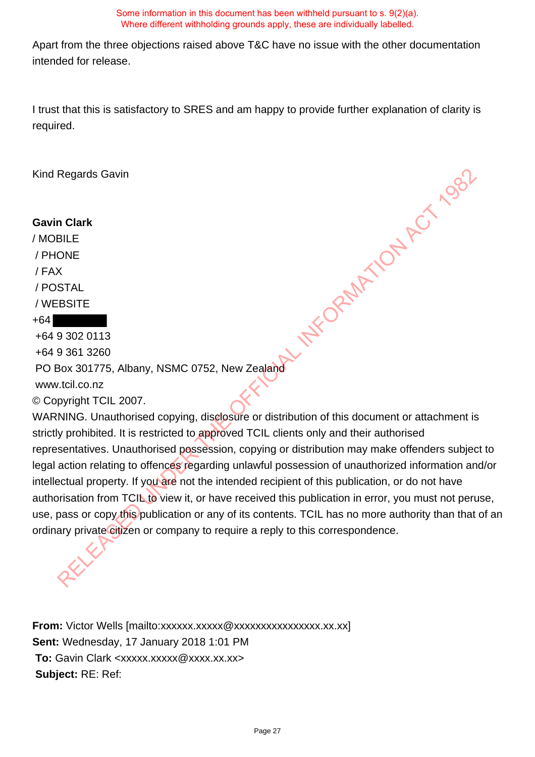Apart from the three objections raised above T&C have no issue with the other documentation intended for release.

I trust that this is satisfactory to SRES and am happy to provide further explanation of clarity is required.

Kind Regards Gavin

## **Gavin Clark**

/ MOBILE / PHONE / FAX / POSTAL / WEBSITE

## +64

+64 9 302 0113

+64 9 361 3260

PO Box 301775, Albany, NSMC 0752, New Zealand **X THE ORAMATION ACT 1982** 

www.tcil.co.nz

© Copyright TCIL 2007.

WARNING. Unauthorised copying, disclosure or distribution of this document or attachment is strictly prohibited. It is restricted to approved TCIL clients only and their authorised representatives. Unauthorised possession, copying or distribution may make offenders subject to legal action relating to offences regarding unlawful possession of unauthorized information and/or intellectual property. If you are not the intended recipient of this publication, or do not have authorisation from TCIL to view it, or have received this publication in error, you must not peruse, use, pass or copy this publication or any of its contents. TCIL has no more authority than that of an ordinary private citizen or company to require a reply to this correspondence.

**From:** Victor Wells [mailto:xxxxxx.xxxxxxxxxxxxxxxxxxxxx.xx.xx] **Sent:** Wednesday, 17 January 2018 1:01 PM **To:** Gavin Clark <xxxxx.xxxxx@xxxx.xx.xx> **Subject:** RE: Ref: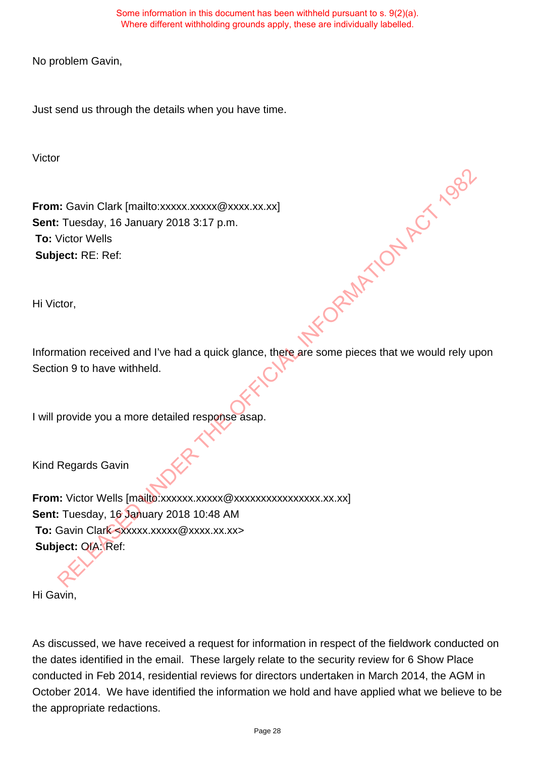No problem Gavin,

Just send us through the details when you have time.

Victor

**From:** Gavin Clark [mailto:xxxxx.xxxxx @xxxx.xx.xx] **Sent:** Tuesday, 16 January 2018 3:17 p.m. **To:** Victor Wells **Subject:** RE: Ref:

Hi Victor,

Information received and I've had a quick glance, there are some pieces that we would rely upon Section 9 to have withheld. FORMATION ACT 1982

I will provide you a more detailed response asap.

Kind Regards Gavin

From: Victor Wells [mailto:xxxxxx.xxxxx @xxxxxxxxxxxxxxx.xx.xx] **Sent:** Tuesday, 16 January 2018 10:48 AM **To:** Gavin Clark <xxxxx.xxxxx @xxxx.xx.xx> **Subject:** OIA: Ref:

Hi Gavin,

As discussed, we have received a request for information in respect of the fieldwork conducted on the dates identified in the email. These largely relate to the security review for 6 Show Place conducted in Feb 2014, residential reviews for directors undertaken in March 2014, the AGM in October 2014. We have identified the information we hold and have applied what we believe to be the appropriate redactions.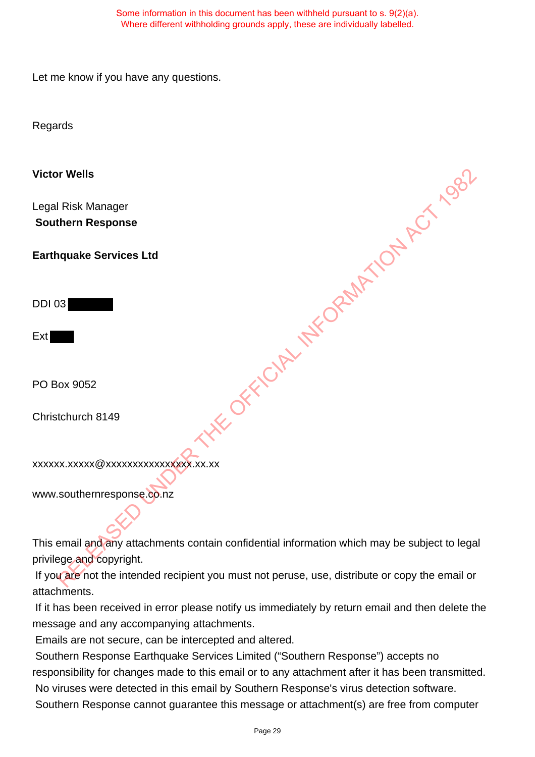Let me know if you have any questions.

Regards

**Victor Wells** Legal Risk Manager **Southern Response Earthquake Services Ltd** DDI 03 Ext PO Box 9052 Christchurch 8149 xxxxxx.xxxxx@xxxxxxxxxxxxxxxx.xx.xx www.southernresponse.co.nz **KE OFFICIAL INFORMATION ACT 1982** 

This email and any attachments contain confidential information which may be subject to legal privilege and copyright.

If you are not the intended recipient you must not peruse, use, distribute or copy the email or attachments.

 If it has been received in error please notify us immediately by return email and then delete the message and any accompanying attachments.

Emails are not secure, can be intercepted and altered.

 Southern Response Earthquake Services Limited ("Southern Response") accepts no responsibility for changes made to this email or to any attachment after it has been transmitted. No viruses were detected in this email by Southern Response's virus detection software. Southern Response cannot guarantee this message or attachment(s) are free from computer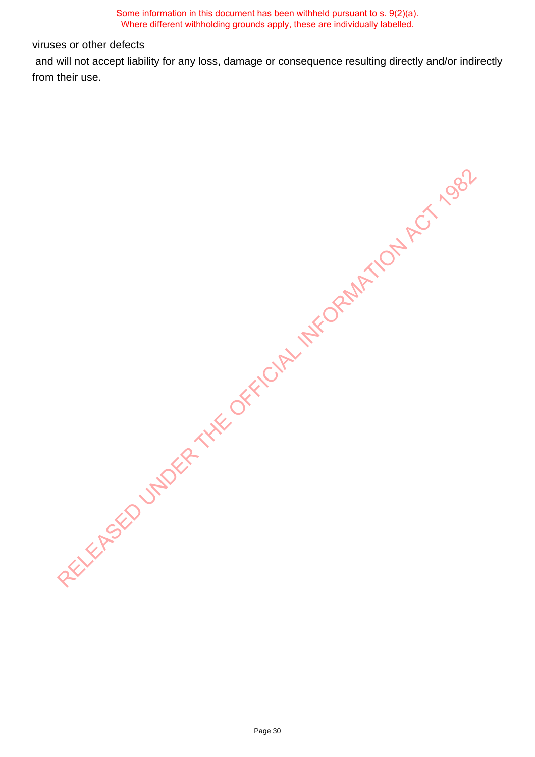viruses or other defects

 and will not accept liability for any loss, damage or consequence resulting directly and/or indirectly from their use.

RELIXER SOLUMBER THE OFFICIAL INFORMATION ACT 1982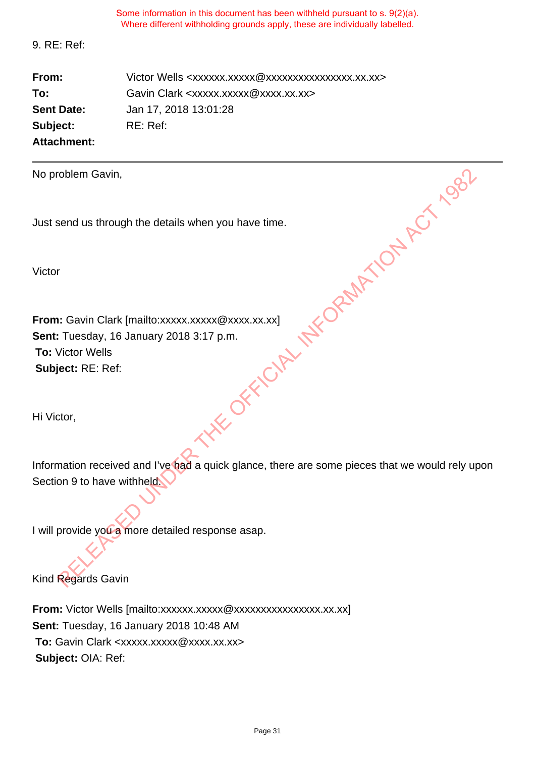9. RE: Ref:

**From:** Victor Wells <xxxxxx.xxxxxxxxxxxxxxxxxxx.xx.xx> **To:** Gavin Clark <xxxxx.xxxxx@xxxx.xx.xx> **Sent Date:** Jan 17, 2018 13:01:28 **Subject:** RE: Ref: **Attachment:**

No problem Gavin,

Just send us through the details when you have time.

Victor

**From:** Gavin Clark [mailto:xxxxx.xxxxx @xxxx.xx.xx] **Sent:** Tuesday, 16 January 2018 3:17 p.m. **To:** Victor Wells **Subject:** RE: Ref: CHE OF THE OPEN ATOM ACT 1982

Hi Victor,

Information received and I've had a quick glance, there are some pieces that we would rely upon Section 9 to have withheld.

I will provide you a more detailed response asap.

Kind Regards Gavin

**From:** Victor Wells [mailto:xxxxxx.xxxxxxxxxxxxxxxxxxxxx.xx.xx] **Sent:** Tuesday, 16 January 2018 10:48 AM **To:** Gavin Clark <xxxxx.xxxxx@xxxx.xx.xx> **Subject:** OIA: Ref: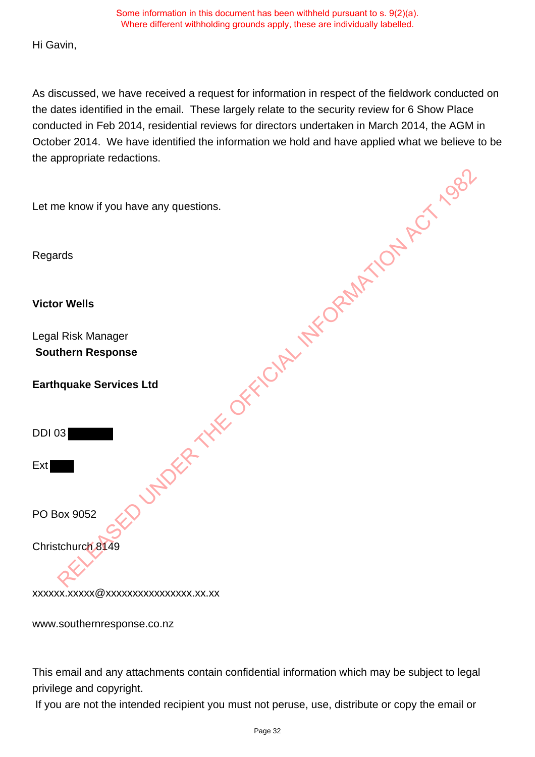Hi Gavin,

As discussed, we have received a request for information in respect of the fieldwork conducted on the dates identified in the email. These largely relate to the security review for 6 Show Place conducted in Feb 2014, residential reviews for directors undertaken in March 2014, the AGM in October 2014. We have identified the information we hold and have applied what we believe to be the appropriate redactions. LUTIONS ATTENDATION AND METOD AND MOST

Let me know if you have any questions.

Regards

**Victor Wells**

Legal Risk Manager **Southern Response**

**Earthquake Services Ltd**

DDI 03

Ext

PO Box 9052

Christchurch 8149

xxxxxx.xxxxx@xxxxxxxxxxxxxxxx.xx.xx

www.southernresponse.co.nz

This email and any attachments contain confidential information which may be subject to legal privilege and copyright.

If you are not the intended recipient you must not peruse, use, distribute or copy the email or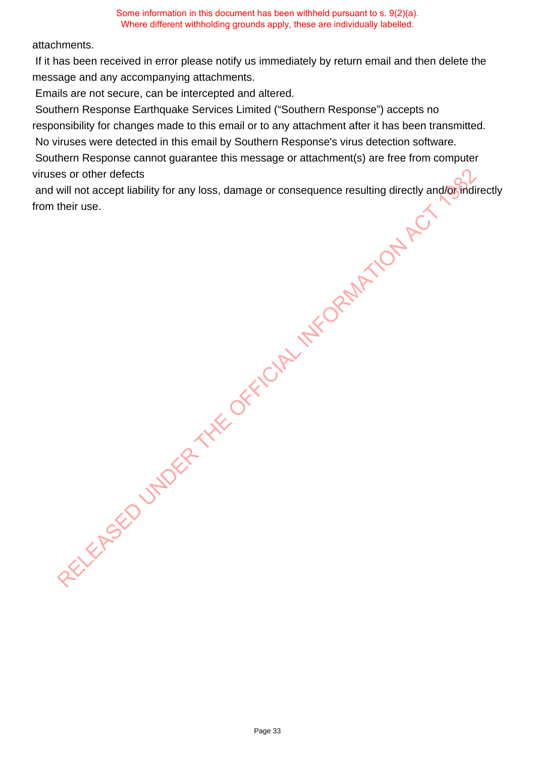#### attachments.

 If it has been received in error please notify us immediately by return email and then delete the message and any accompanying attachments.

Emails are not secure, can be intercepted and altered.

Southern Response Earthquake Services Limited ("Southern Response") accepts no

responsibility for changes made to this email or to any attachment after it has been transmitted.

No viruses were detected in this email by Southern Response's virus detection software.

 Southern Response cannot guarantee this message or attachment(s) are free from computer viruses or other defects

and will not accept liability for any loss, damage or consequence resulting directly and/or indirectly from their use. RELEASED UNDER THE OFFICIAL INFORMATION AND RELEASED UNDER THE ORDER OF THE ORDER CONSUMING THE ORDER OF THE ORDER OF THE ORDER OF THE ORDER OF THE ORDER OF THE ORDER OF THE ORDER OF THE ORDER OF THE ORDER OF THE ORDER OF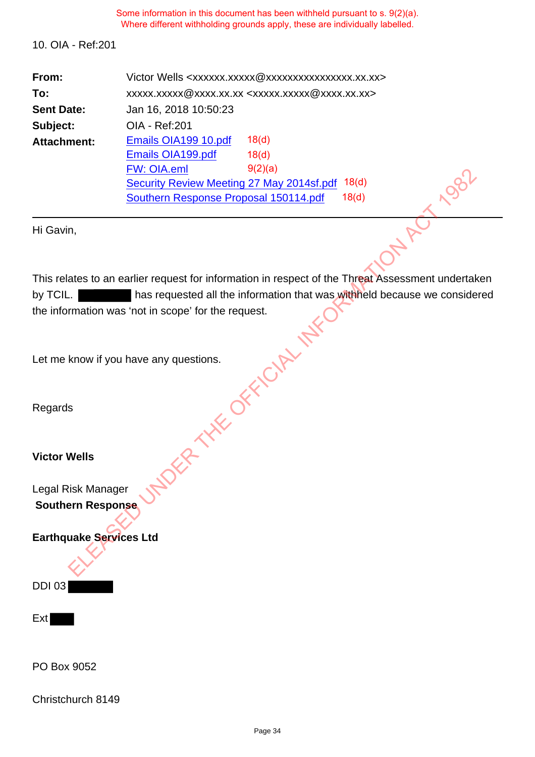10. OIA - Ref:201

| From:              | Victor Wells <xxxxxx.xxxxx @xxxxxxxxxxxxxxxx.xx.xx=""></xxxxxx.xxxxx>          |                   |  |
|--------------------|--------------------------------------------------------------------------------|-------------------|--|
| To:                | xxxxx.xxxx @ xxxx.xx.xx <xxxxx.xxxxx @="" th="" xxxx.xx.xx.<=""></xxxxx.xxxxx> |                   |  |
| <b>Sent Date:</b>  | Jan 16, 2018 10:50:23                                                          |                   |  |
| Subject:           | OIA - Ref: 201                                                                 |                   |  |
| <b>Attachment:</b> | Emails OIA199 10.pdf                                                           | 18 <sub>(d)</sub> |  |
|                    | Emails OIA199.pdf                                                              | 18 <sub>d</sub>   |  |
|                    | <b>FW: OIA.eml</b>                                                             | 9(2)(a)           |  |
|                    | 18 <sub>d</sub><br>Security Review Meeting 27 May 2014sf.pdf                   |                   |  |
|                    | Southern Response Proposal 150114.pdf<br>18(d)                                 |                   |  |

Hi Gavin,

This relates to an earlier request for information in respect of the Threat Assessment undertaken by TCIL. has requested all the information that was withheld because we considered the information was 'not in scope' for the request. em Response Proposal 150114.pdf<br>
em Response Proposal 150114.pdf<br>
18(d)<br>
Parties Proposal 150114.pdf<br>
18(d)<br>
Parties Proposal 150114.pdf<br>
18(d)<br>
Parties 1882<br>
Parties Assessment undertain<br>
Specific the request.<br>
Parties As

Let me know if you have any questions.

Regards

**Victor Wells**

Legal Risk Manager **Southern Response**

**Earthquake Services Ltd**



Ext

PO Box 9052

Christchurch 8149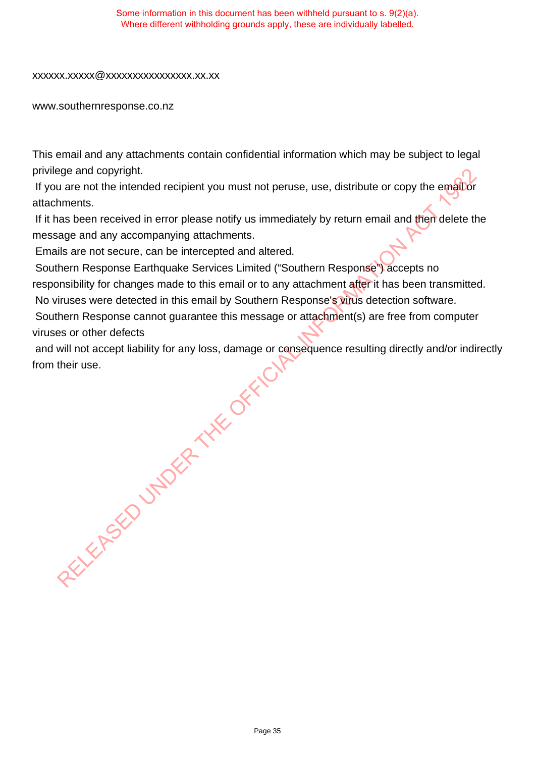#### xxxxxx.xxxxx@xxxxxxxxxxxxxxxx.xx.xx

www.southernresponse.co.nz

This email and any attachments contain confidential information which may be subject to legal privilege and copyright.

If you are not the intended recipient you must not peruse, use, distribute or copy the email or attachments.

If it has been received in error please notify us immediately by return email and then delete the message and any accompanying attachments.

Emails are not secure, can be intercepted and altered.

 Southern Response Earthquake Services Limited ("Southern Response") accepts no responsibility for changes made to this email or to any attachment after it has been transmitted. No viruses were detected in this email by Southern Response's virus detection software.

 Southern Response cannot guarantee this message or attachment(s) are free from computer viruses or other defects

 and will not accept liability for any loss, damage or consequence resulting directly and/or indirectly from their use. RELEASED UNDER THE OFFICIAL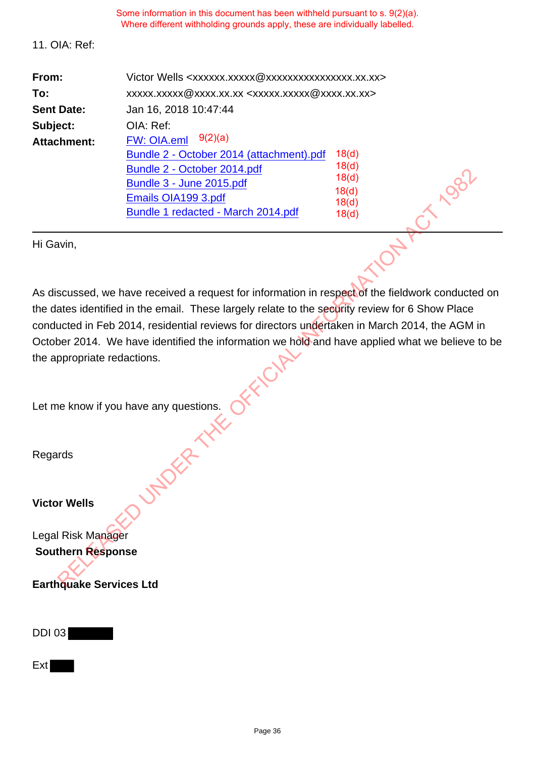#### 11. OIA: Ref:

| From:              | Victor Wells <xxxxxx.xxxxx@xxxxxxxxxxxxxxxx.xx.xx></xxxxxx.xxxxx@xxxxxxxxxxxxxxxx.xx.xx> |                                        |  |
|--------------------|------------------------------------------------------------------------------------------|----------------------------------------|--|
| To:                | xxxxx.xxxx @ xxxx.xx.xx <xxxxx.xxxxx @="" xxxx.xx.xx=""></xxxxx.xxxxx>                   |                                        |  |
| <b>Sent Date:</b>  | Jan 16, 2018 10:47:44                                                                    |                                        |  |
| Subject:           | OIA: Ref:                                                                                |                                        |  |
| <b>Attachment:</b> | $FW: OIA.$ eml $9(2)(a)$                                                                 |                                        |  |
|                    | Bundle 2 - October 2014 (attachment).pdf                                                 | 18 <sub>d</sub>                        |  |
|                    | Bundle 2 - October 2014.pdf                                                              | 18 <sub>(d)</sub><br>18 <sub>(d)</sub> |  |
|                    | Bundle 3 - June 2015.pdf                                                                 |                                        |  |
|                    | Emails OIA199 3.pdf                                                                      | 18 <sub>(d)</sub>                      |  |
|                    | Bundle 1 redacted - March 2014.pdf                                                       | 18 <sub>(d)</sub><br>18 <sub>(d)</sub> |  |

Hi Gavin,

As discussed, we have received a request for information in respect of the fieldwork conducted on the dates identified in the email. These largely relate to the security review for 6 Show Place conducted in Feb 2014, residential reviews for directors undertaken in March 2014, the AGM in October 2014. We have identified the information we hold and have applied what we believe to be the appropriate redactions. Bundle 3 - June 2015.bdf<br>
Bundle 3 - June 2015.bdf<br>
Emails OlA199 3.pdf<br>
Bundle 1 redacted - March 2014.pdf<br>
Bundle 1 redacted - March 2014.pdf<br>
Bundle 1 redacted - March 2014.pdf<br>
18(d)<br>
18(d)<br>
18(d)<br>
18(d)<br>
18(d)<br>
18(d)<br>

Let me know if you have any questions.<br>Regards

Regards

**Victor Wells**

Legal Risk Manager **Southern Response**

**Earthquake Services Ltd**

DDI 03

**Ext**